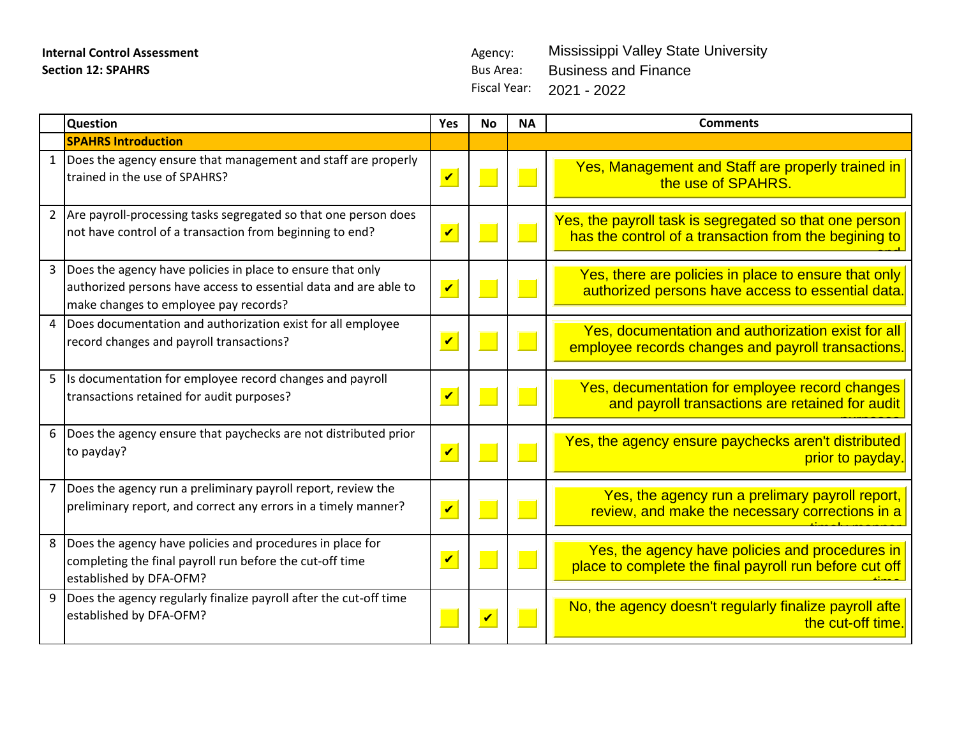Fiscal Year: 2021 - 2022 Mississippi Valley State University Business and Finance

|              | <b>Question</b>                                                                                                                                                         | <b>Yes</b>                 | <b>No</b>          | <b>NA</b> | <b>Comments</b>                                                                                                 |
|--------------|-------------------------------------------------------------------------------------------------------------------------------------------------------------------------|----------------------------|--------------------|-----------|-----------------------------------------------------------------------------------------------------------------|
|              | <b>SPAHRS Introduction</b>                                                                                                                                              |                            |                    |           |                                                                                                                 |
|              | Does the agency ensure that management and staff are properly<br>trained in the use of SPAHRS?                                                                          | $\overline{\mathbf{v}}$    |                    |           | Yes, Management and Staff are properly trained in<br>the use of SPAHRS.                                         |
| $2^{\circ}$  | Are payroll-processing tasks segregated so that one person does<br>not have control of a transaction from beginning to end?                                             | $\overline{\mathbf{v}}$    |                    |           | Yes, the payroll task is segregated so that one person<br>has the control of a transaction from the begining to |
| $\mathbf{3}$ | Does the agency have policies in place to ensure that only<br>authorized persons have access to essential data and are able to<br>make changes to employee pay records? | $\overline{\mathbf{v}}$    |                    |           | Yes, there are policies in place to ensure that only<br>authorized persons have access to essential data.       |
| 4            | Does documentation and authorization exist for all employee<br>record changes and payroll transactions?                                                                 | $\overline{\mathbf{v}}$    |                    |           | Yes, documentation and authorization exist for all<br>employee records changes and payroll transactions.        |
| 5            | Is documentation for employee record changes and payroll<br>transactions retained for audit purposes?                                                                   | $\boldsymbol{\mathcal{U}}$ |                    |           | Yes, decumentation for employee record changes<br>and payroll transactions are retained for audit               |
| 6            | Does the agency ensure that paychecks are not distributed prior<br>to payday?                                                                                           | $\overline{\mathbf{v}}$    |                    |           | Yes, the agency ensure paychecks aren't distributed<br>prior to payday.                                         |
|              | Does the agency run a preliminary payroll report, review the<br>preliminary report, and correct any errors in a timely manner?                                          | $\overline{\mathbf{v}}$    |                    |           | Yes, the agency run a prelimary payroll report,<br>review, and make the necessary corrections in a              |
| 8            | Does the agency have policies and procedures in place for<br>completing the final payroll run before the cut-off time<br>established by DFA-OFM?                        | $\overline{\mathbf{v}}$    |                    |           | Yes, the agency have policies and procedures in<br>place to complete the final payroll run before cut off       |
| 9            | Does the agency regularly finalize payroll after the cut-off time<br>established by DFA-OFM?                                                                            |                            | $\boldsymbol{\nu}$ |           | No, the agency doesn't regularly finalize payroll afte<br>the cut-off time.                                     |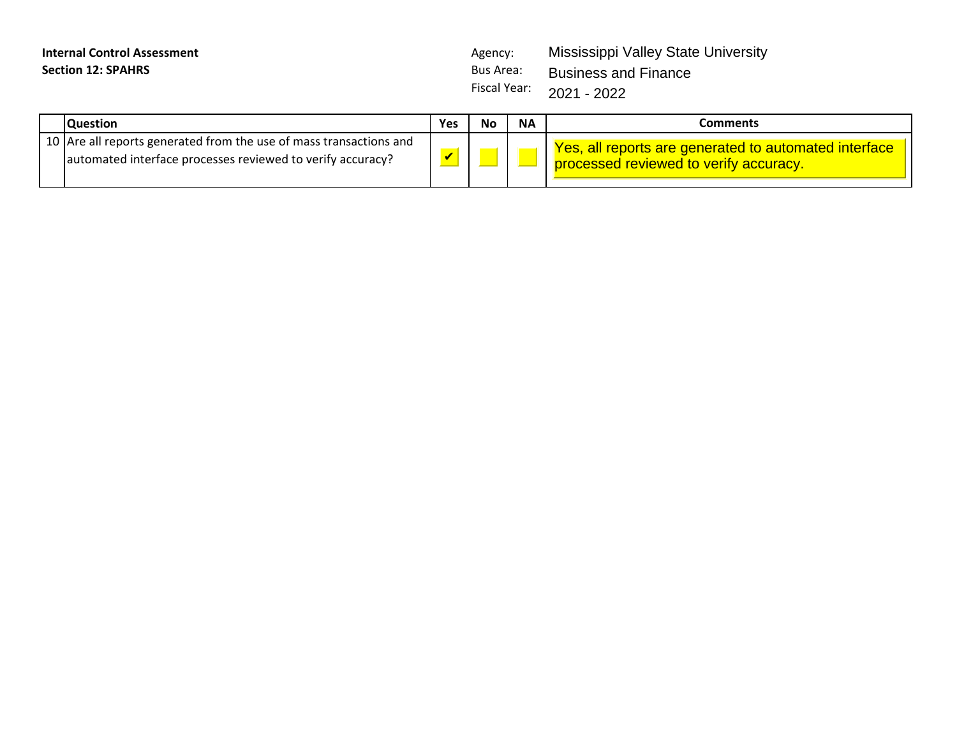| <b>Internal Control Assessment</b> | Agency: | Mississippi Valley State University |
|------------------------------------|---------|-------------------------------------|
| <b>Section 12: SPAHRS</b>          |         | Bus Area: Business and Finance      |
|                                    |         | Fiscal Year: $2021 - 2022$          |

| <b>Question</b>                                                                                                                  | <b>Yes</b>   | No | <b>NA</b> | Comments                                                                                          |
|----------------------------------------------------------------------------------------------------------------------------------|--------------|----|-----------|---------------------------------------------------------------------------------------------------|
| 10 Are all reports generated from the use of mass transactions and<br>automated interface processes reviewed to verify accuracy? | $\mathbf{Z}$ |    |           | Yes, all reports are generated to automated interface<br>I processed reviewed to verify accuracy. |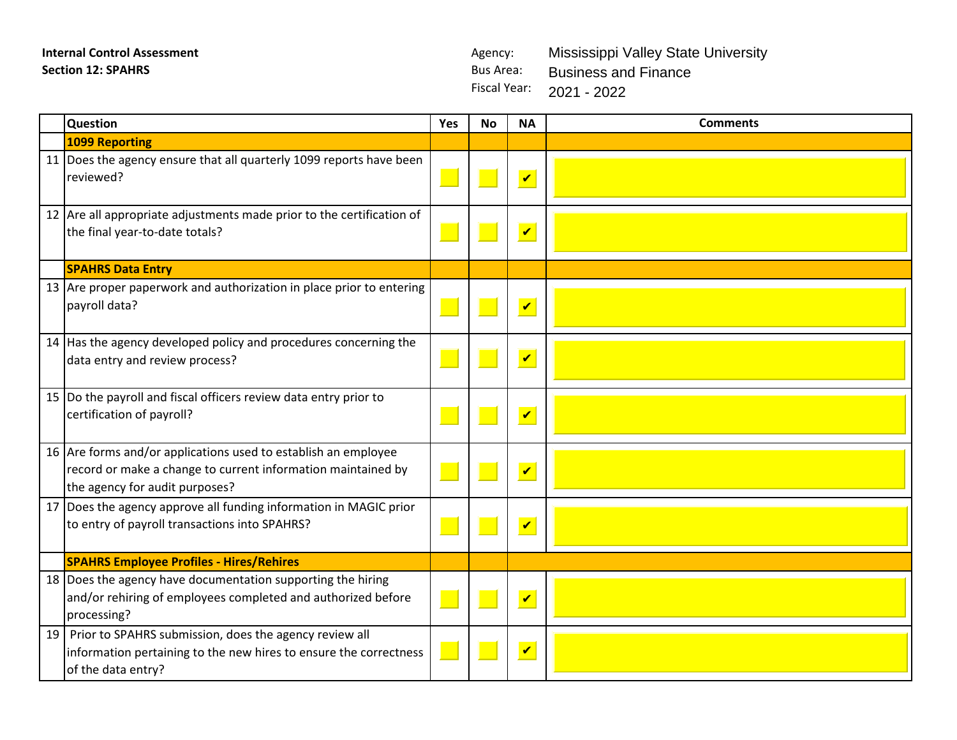Fiscal Year: 2021 - 2022 Mississippi Valley State University Business and Finance

|    | <b>Question</b>                                                                                                                                                  | Yes | <b>No</b> | <b>NA</b>               | <b>Comments</b> |
|----|------------------------------------------------------------------------------------------------------------------------------------------------------------------|-----|-----------|-------------------------|-----------------|
|    | 1099 Reporting                                                                                                                                                   |     |           |                         |                 |
|    | 11 Does the agency ensure that all quarterly 1099 reports have been<br>reviewed?                                                                                 |     |           | $\overline{\mathbf{v}}$ |                 |
|    | 12 Are all appropriate adjustments made prior to the certification of<br>the final year-to-date totals?                                                          |     |           | $\overline{\mathbf{v}}$ |                 |
|    | <b>SPAHRS Data Entry</b>                                                                                                                                         |     |           |                         |                 |
|    | 13   Are proper paperwork and authorization in place prior to entering<br>payroll data?                                                                          |     |           | $\overline{\mathbf{v}}$ |                 |
|    | 14 Has the agency developed policy and procedures concerning the<br>data entry and review process?                                                               |     |           | $\blacktriangledown$    |                 |
|    | 15 Do the payroll and fiscal officers review data entry prior to<br>certification of payroll?                                                                    |     |           | $\overline{\mathbf{v}}$ |                 |
|    | 16 Are forms and/or applications used to establish an employee<br>record or make a change to current information maintained by<br>the agency for audit purposes? |     |           | $\overline{\mathbf{v}}$ |                 |
|    | 17 Does the agency approve all funding information in MAGIC prior<br>to entry of payroll transactions into SPAHRS?                                               |     |           | $\overline{\mathbf{v}}$ |                 |
|    | <b>SPAHRS Employee Profiles - Hires/Rehires</b>                                                                                                                  |     |           |                         |                 |
|    | 18 Does the agency have documentation supporting the hiring<br>and/or rehiring of employees completed and authorized before<br>processing?                       |     |           | $\overline{\mathbf{v}}$ |                 |
| 19 | Prior to SPAHRS submission, does the agency review all<br>information pertaining to the new hires to ensure the correctness<br>of the data entry?                |     |           | $\overline{\mathbf{v}}$ |                 |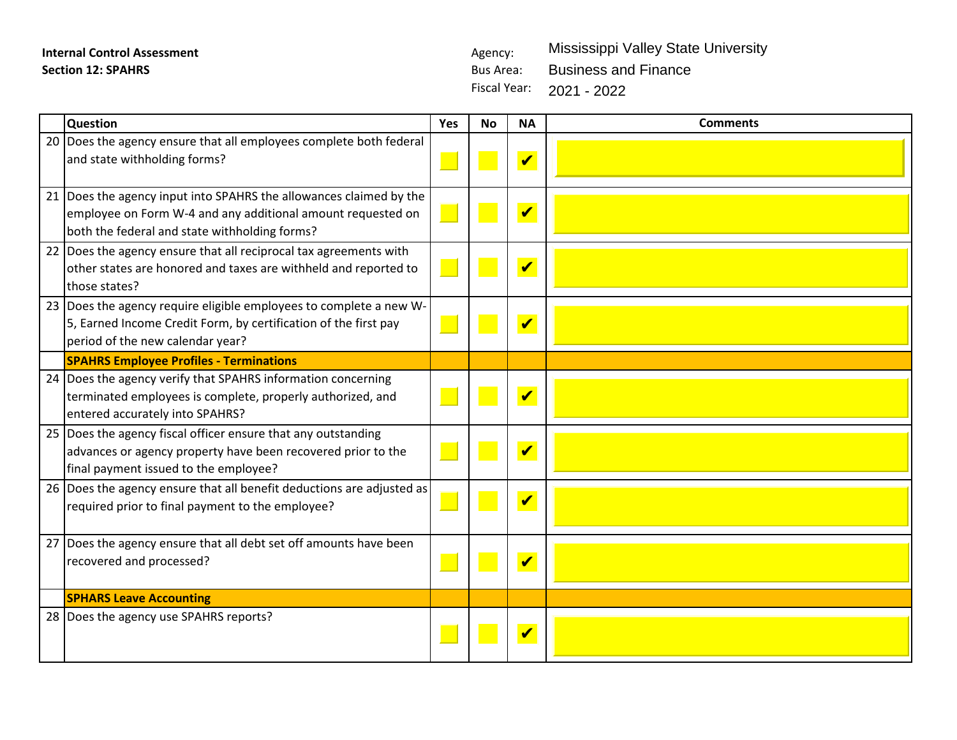Fiscal Year: 2021 - 2022Mississippi Valley State University Business and Finance

| <b>Question</b>                                                                                                                                                                    | Yes | <b>No</b> | <b>NA</b>                  | <b>Comments</b> |
|------------------------------------------------------------------------------------------------------------------------------------------------------------------------------------|-----|-----------|----------------------------|-----------------|
| 20 Does the agency ensure that all employees complete both federal<br>and state withholding forms?                                                                                 |     |           | $\boldsymbol{\mathcal{U}}$ |                 |
| 21 Does the agency input into SPAHRS the allowances claimed by the<br>employee on Form W-4 and any additional amount requested on<br>both the federal and state withholding forms? |     |           | $\boldsymbol{\mathcal{U}}$ |                 |
| 22 Does the agency ensure that all reciprocal tax agreements with<br>other states are honored and taxes are withheld and reported to<br>those states?                              |     |           | $\boldsymbol{\mathcal{U}}$ |                 |
| 23 Does the agency require eligible employees to complete a new W-<br>5, Earned Income Credit Form, by certification of the first pay<br>period of the new calendar year?          |     |           | $\boldsymbol{\mathcal{U}}$ |                 |
| <b>SPAHRS Employee Profiles - Terminations</b>                                                                                                                                     |     |           |                            |                 |
| 24 Does the agency verify that SPAHRS information concerning<br>terminated employees is complete, properly authorized, and<br>entered accurately into SPAHRS?                      |     |           | $\boldsymbol{\mathcal{U}}$ |                 |
| 25 Does the agency fiscal officer ensure that any outstanding<br>advances or agency property have been recovered prior to the<br>final payment issued to the employee?             |     |           | $\boldsymbol{\mathcal{U}}$ |                 |
| 26 Does the agency ensure that all benefit deductions are adjusted as<br>required prior to final payment to the employee?                                                          |     |           | $\boldsymbol{\mathcal{U}}$ |                 |
| 27 Does the agency ensure that all debt set off amounts have been<br>recovered and processed?                                                                                      |     |           | $\boldsymbol{\mathcal{U}}$ |                 |
| <b>SPHARS Leave Accounting</b>                                                                                                                                                     |     |           |                            |                 |
| 28 Does the agency use SPAHRS reports?                                                                                                                                             |     |           |                            |                 |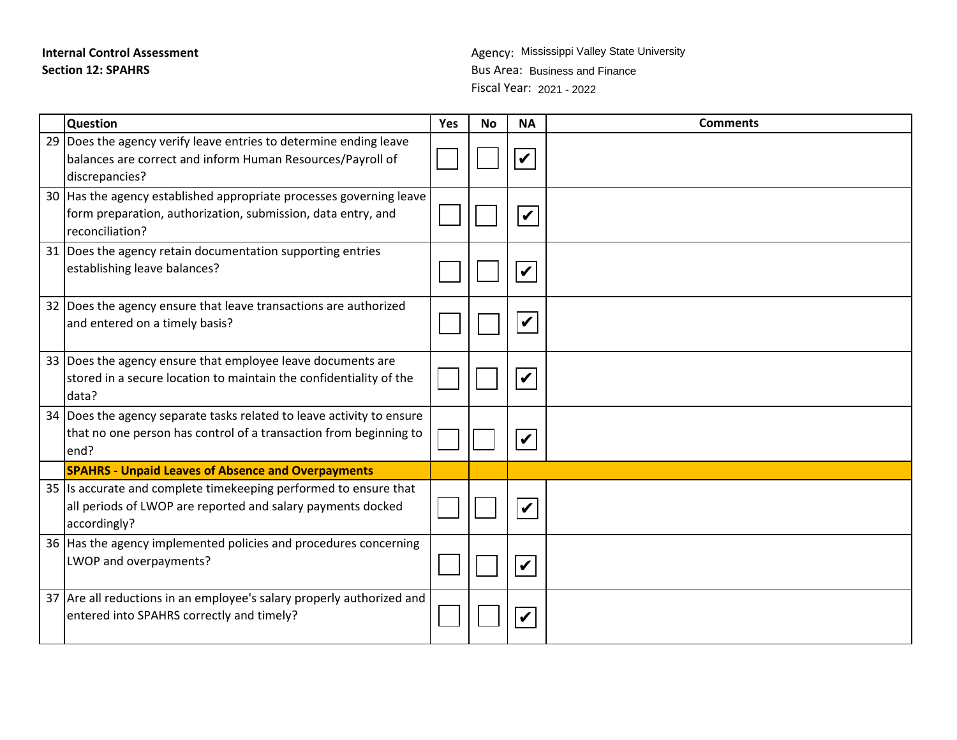# **Internal Control Assessment Section 12: SPAHRS**

Fiscal Year: 2021 - 2022Agency: Mississippi Valley State University Bus Area: Business and Finance

| <b>Question</b>                                                                                                                                        | Yes | <b>No</b> | <b>NA</b>                  | <b>Comments</b> |
|--------------------------------------------------------------------------------------------------------------------------------------------------------|-----|-----------|----------------------------|-----------------|
| 29 Does the agency verify leave entries to determine ending leave<br>balances are correct and inform Human Resources/Payroll of<br>discrepancies?      |     |           |                            |                 |
| 30 Has the agency established appropriate processes governing leave<br>form preparation, authorization, submission, data entry, and<br>reconciliation? |     |           | $\boldsymbol{\mathcal{U}}$ |                 |
| 31 Does the agency retain documentation supporting entries<br>establishing leave balances?                                                             |     |           | $\boldsymbol{\mathcal{U}}$ |                 |
| 32 Does the agency ensure that leave transactions are authorized<br>and entered on a timely basis?                                                     |     |           | $\boldsymbol{\mathcal{U}}$ |                 |
| 33 Does the agency ensure that employee leave documents are<br>stored in a secure location to maintain the confidentiality of the<br>data?             |     |           |                            |                 |
| 34 Does the agency separate tasks related to leave activity to ensure<br>that no one person has control of a transaction from beginning to<br>end?     |     |           |                            |                 |
| <b>SPAHRS - Unpaid Leaves of Absence and Overpayments</b>                                                                                              |     |           |                            |                 |
| 35 Is accurate and complete timekeeping performed to ensure that<br>all periods of LWOP are reported and salary payments docked<br>accordingly?        |     |           | $\boldsymbol{\mathcal{U}}$ |                 |
| 36 Has the agency implemented policies and procedures concerning<br>LWOP and overpayments?                                                             |     |           |                            |                 |
| 37 Are all reductions in an employee's salary properly authorized and<br>entered into SPAHRS correctly and timely?                                     |     |           |                            |                 |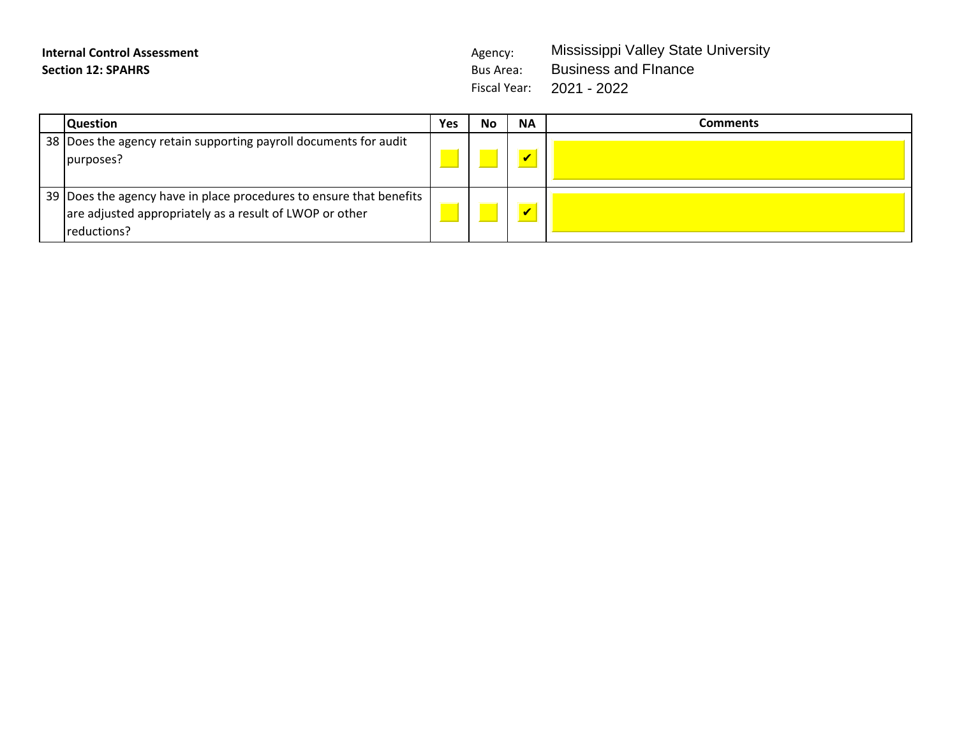Fiscal Year: 2021 - 2022 Mississippi Valley State University Business and FInance

| <b>Question</b>                                                                                                                                 | Yes | <b>No</b> | <b>NA</b> | Comments |
|-------------------------------------------------------------------------------------------------------------------------------------------------|-----|-----------|-----------|----------|
| 38  Does the agency retain supporting payroll documents for audit<br>purposes?                                                                  |     |           |           |          |
| 39   Does the agency have in place procedures to ensure that benefits<br>are adjusted appropriately as a result of LWOP or other<br>reductions? |     |           |           |          |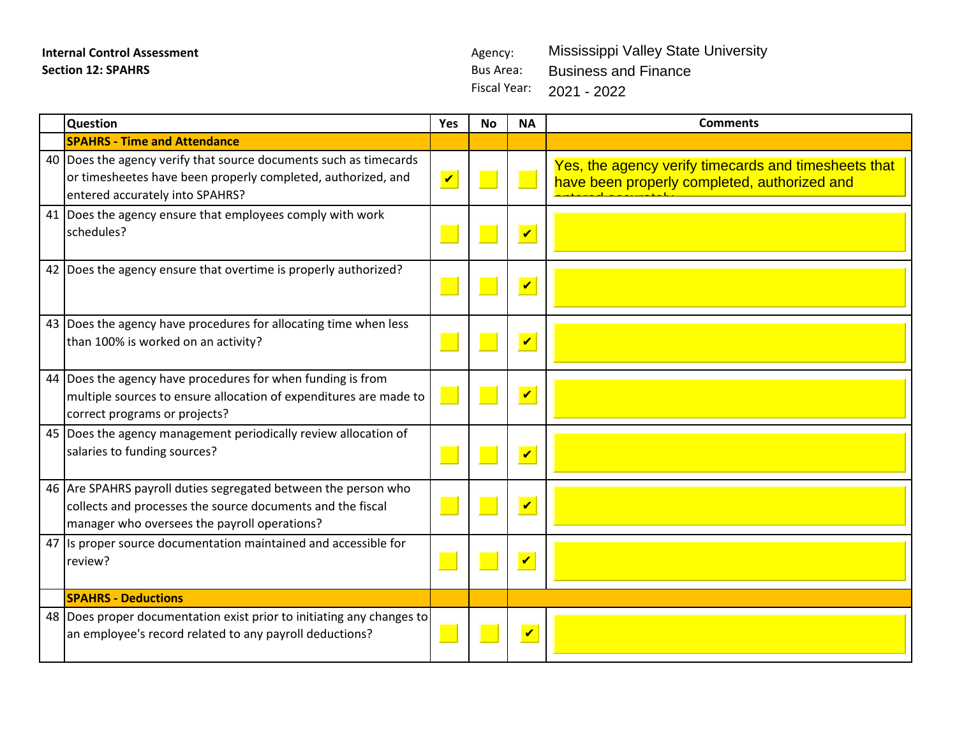Fiscal Year: 2021 - 2022 Mississippi Valley State University Business and Finance

| <b>Question</b>                                                                                                                                                              | Yes                  | <b>No</b> | <b>NA</b>                  | <b>Comments</b>                                                                                      |
|------------------------------------------------------------------------------------------------------------------------------------------------------------------------------|----------------------|-----------|----------------------------|------------------------------------------------------------------------------------------------------|
| <b>SPAHRS - Time and Attendance</b>                                                                                                                                          |                      |           |                            |                                                                                                      |
| 40 Does the agency verify that source documents such as timecards<br>or timesheetes have been properly completed, authorized, and<br>entered accurately into SPAHRS?         | $\blacktriangledown$ |           |                            | Yes, the agency verify timecards and timesheets that<br>have been properly completed, authorized and |
| 41 Does the agency ensure that employees comply with work<br>schedules?                                                                                                      |                      |           | $\overline{\mathbf{v}}$    |                                                                                                      |
| 42   Does the agency ensure that overtime is properly authorized?                                                                                                            |                      |           | $\overline{\mathbf{v}}$    |                                                                                                      |
| 43 Does the agency have procedures for allocating time when less<br>than 100% is worked on an activity?                                                                      |                      |           | $\boldsymbol{\mathcal{U}}$ |                                                                                                      |
| 44   Does the agency have procedures for when funding is from<br>multiple sources to ensure allocation of expenditures are made to<br>correct programs or projects?          |                      |           | $\overline{\mathbf{v}}$    |                                                                                                      |
| 45 Does the agency management periodically review allocation of<br>salaries to funding sources?                                                                              |                      |           | $\overline{\mathbf{v}}$    |                                                                                                      |
| 46 Are SPAHRS payroll duties segregated between the person who<br>collects and processes the source documents and the fiscal<br>manager who oversees the payroll operations? |                      |           | $\boldsymbol{\mathcal{U}}$ |                                                                                                      |
| 47 Is proper source documentation maintained and accessible for<br>review?                                                                                                   |                      |           | $\blacktriangledown$       |                                                                                                      |
| <b>SPAHRS - Deductions</b>                                                                                                                                                   |                      |           |                            |                                                                                                      |
| 48 Does proper documentation exist prior to initiating any changes to<br>an employee's record related to any payroll deductions?                                             |                      |           | $\overline{\mathbf{v}}$    |                                                                                                      |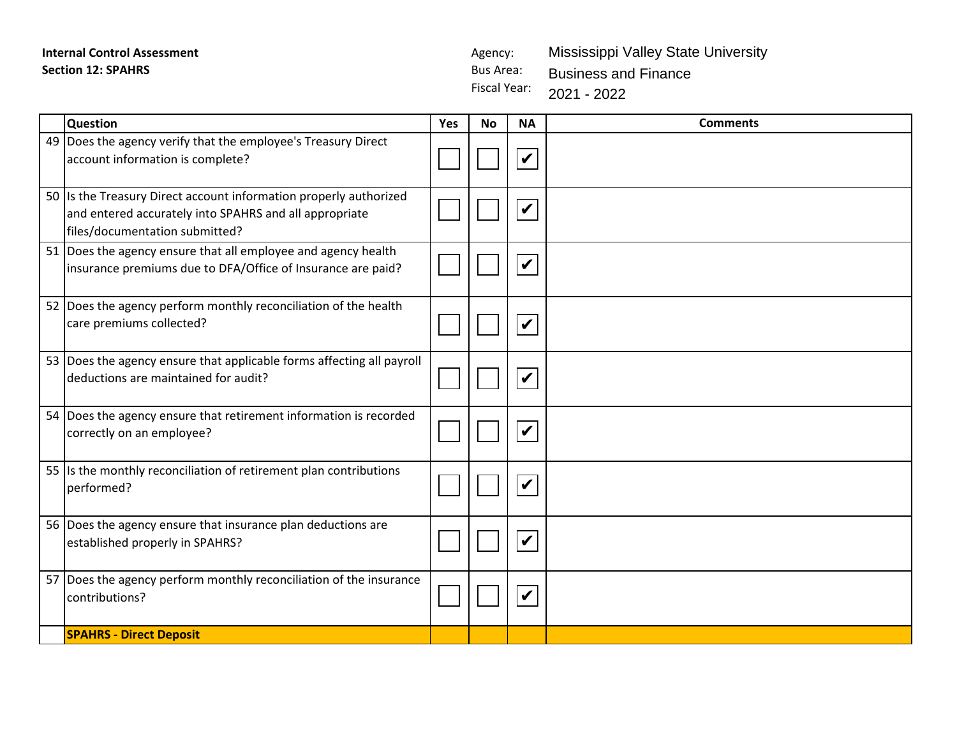Fiscal Year: Mississippi Valley State University Business and Finance 2021 - 2022

| <b>Question</b>                                                                                                                                               | Yes | <b>No</b> | <b>NA</b>                  | <b>Comments</b> |
|---------------------------------------------------------------------------------------------------------------------------------------------------------------|-----|-----------|----------------------------|-----------------|
| 49 Does the agency verify that the employee's Treasury Direct<br>account information is complete?                                                             |     |           | $\boldsymbol{\mathcal{U}}$ |                 |
| 50 Is the Treasury Direct account information properly authorized<br>and entered accurately into SPAHRS and all appropriate<br>files/documentation submitted? |     |           | $\boldsymbol{\mathcal{U}}$ |                 |
| 51  Does the agency ensure that all employee and agency health<br>insurance premiums due to DFA/Office of Insurance are paid?                                 |     |           | $\checkmark$               |                 |
| 52 Does the agency perform monthly reconciliation of the health<br>care premiums collected?                                                                   |     |           | $\boldsymbol{\mathcal{U}}$ |                 |
| 53 Does the agency ensure that applicable forms affecting all payroll<br>deductions are maintained for audit?                                                 |     |           | $\checkmark$               |                 |
| 54 Does the agency ensure that retirement information is recorded<br>correctly on an employee?                                                                |     |           | $\checkmark$               |                 |
| 55 Is the monthly reconciliation of retirement plan contributions<br>performed?                                                                               |     |           | $\checkmark$               |                 |
| 56 Does the agency ensure that insurance plan deductions are<br>established properly in SPAHRS?                                                               |     |           | V                          |                 |
| 57 Does the agency perform monthly reconciliation of the insurance<br>contributions?                                                                          |     |           | $\boldsymbol{\mathcal{U}}$ |                 |
| <b>SPAHRS - Direct Deposit</b>                                                                                                                                |     |           |                            |                 |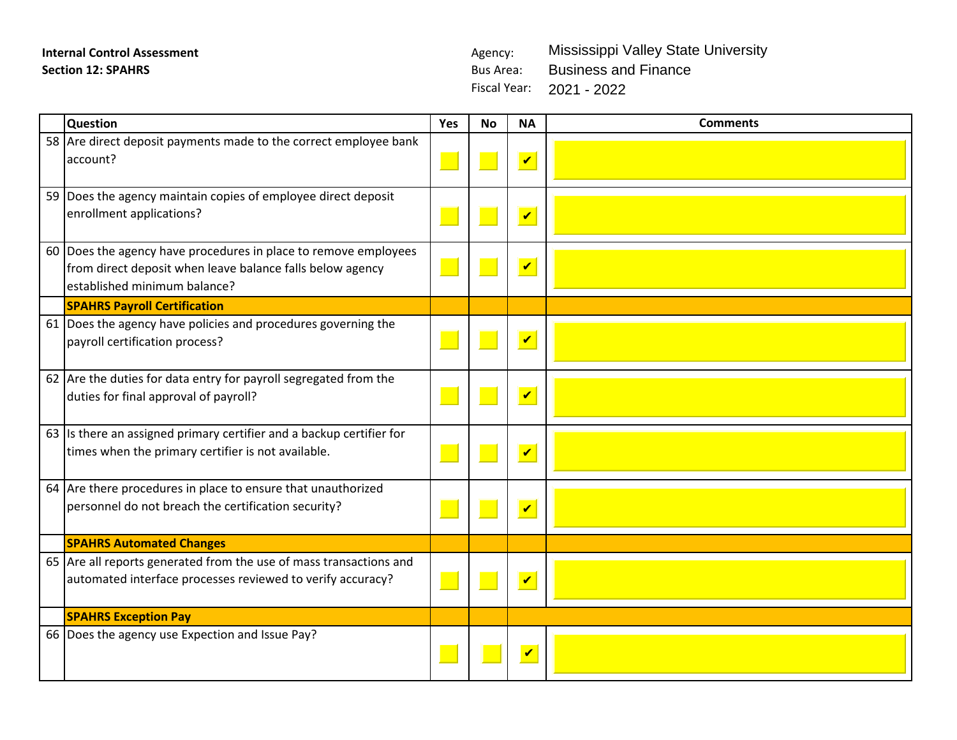Fiscal Year: 2021 - 2022 Mississippi Valley State University Business and Finance

| Question                                                                                                                                                     | Yes | <b>No</b> | <b>NA</b>                  | <b>Comments</b> |
|--------------------------------------------------------------------------------------------------------------------------------------------------------------|-----|-----------|----------------------------|-----------------|
| 58 Are direct deposit payments made to the correct employee bank<br>account?                                                                                 |     |           | $\blacktriangledown$       |                 |
| 59 Does the agency maintain copies of employee direct deposit<br>enrollment applications?                                                                    |     |           | $\blacktriangledown$       |                 |
| 60 Does the agency have procedures in place to remove employees<br>from direct deposit when leave balance falls below agency<br>established minimum balance? |     |           | $\blacktriangledown$       |                 |
| <b>SPAHRS Payroll Certification</b>                                                                                                                          |     |           |                            |                 |
| 61 Does the agency have policies and procedures governing the<br>payroll certification process?                                                              |     |           | $\boldsymbol{\mathcal{U}}$ |                 |
| 62 Are the duties for data entry for payroll segregated from the<br>duties for final approval of payroll?                                                    |     |           | $\overline{\mathbf{v}}$    |                 |
| 63 Is there an assigned primary certifier and a backup certifier for<br>times when the primary certifier is not available.                                   |     |           | $\boldsymbol{\mathcal{U}}$ |                 |
| 64 Are there procedures in place to ensure that unauthorized<br>personnel do not breach the certification security?                                          |     |           | $\blacktriangledown$       |                 |
| <b>SPAHRS Automated Changes</b>                                                                                                                              |     |           |                            |                 |
| 65 Are all reports generated from the use of mass transactions and<br>automated interface processes reviewed to verify accuracy?                             |     |           | $\boldsymbol{\mathcal{U}}$ |                 |
| <b>SPAHRS Exception Pay</b>                                                                                                                                  |     |           |                            |                 |
| 66 Does the agency use Expection and Issue Pay?                                                                                                              |     |           | V                          |                 |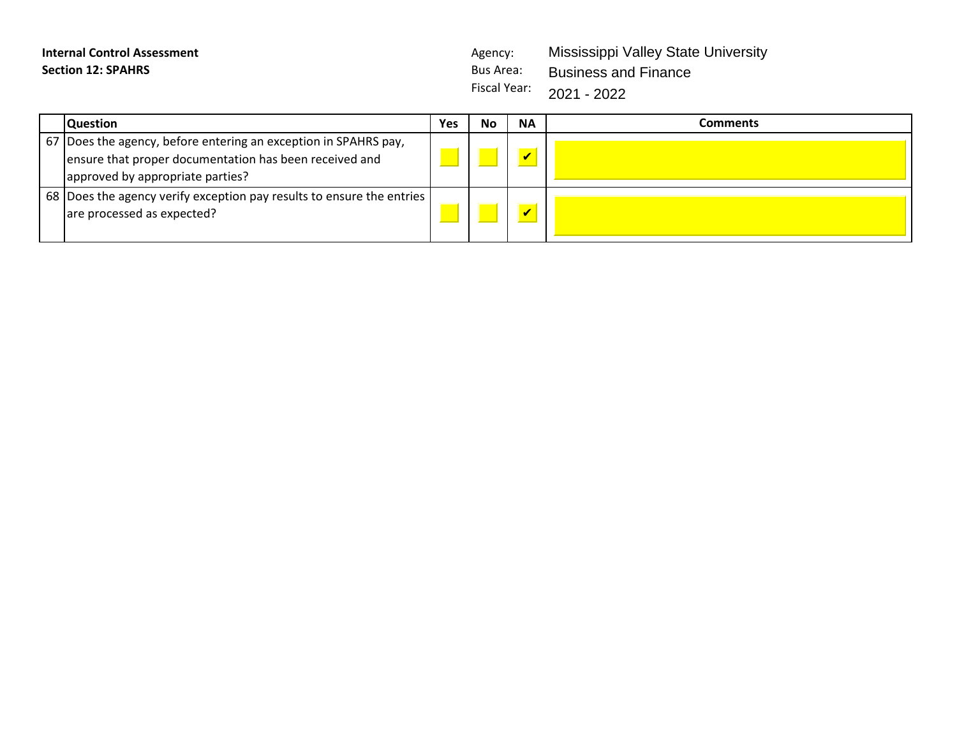Fiscal Year: Mississippi Valley State University Business and Finance 2021 - 2022

| <b>Question</b>                                                                                                                                               | Yes | No | <b>NA</b> | Comments |
|---------------------------------------------------------------------------------------------------------------------------------------------------------------|-----|----|-----------|----------|
| 67 Does the agency, before entering an exception in SPAHRS pay,<br>ensure that proper documentation has been received and<br>approved by appropriate parties? |     |    |           |          |
| 68 Does the agency verify exception pay results to ensure the entries<br>are processed as expected?                                                           |     |    |           |          |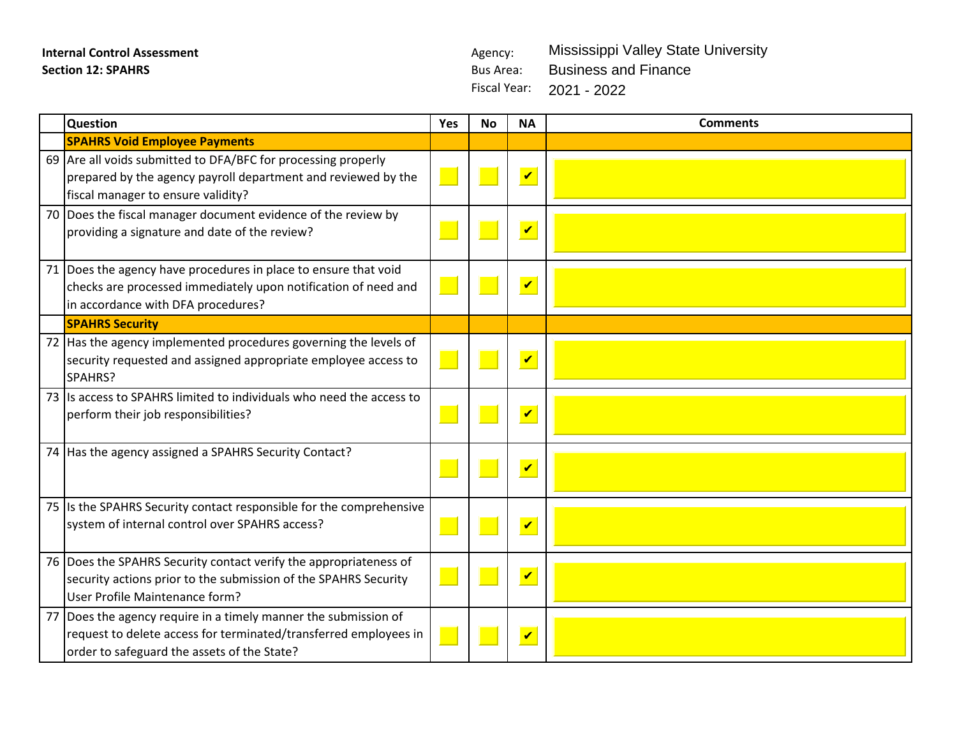Fiscal Year: 2021 - 2022Mississippi Valley State University Business and Finance

| <b>Question</b>                                                                                                                                                                      | Yes | <b>No</b> | <b>NA</b>               | <b>Comments</b> |
|--------------------------------------------------------------------------------------------------------------------------------------------------------------------------------------|-----|-----------|-------------------------|-----------------|
| <b>SPAHRS Void Employee Payments</b>                                                                                                                                                 |     |           |                         |                 |
| 69 Are all voids submitted to DFA/BFC for processing properly<br>prepared by the agency payroll department and reviewed by the<br>fiscal manager to ensure validity?                 |     |           | $\overline{\mathbf{v}}$ |                 |
| 70 Does the fiscal manager document evidence of the review by<br>providing a signature and date of the review?                                                                       |     |           | $\overline{\mathbf{v}}$ |                 |
| 71 Does the agency have procedures in place to ensure that void<br>checks are processed immediately upon notification of need and<br>in accordance with DFA procedures?              |     |           | $\overline{\mathbf{v}}$ |                 |
| <b>SPAHRS Security</b>                                                                                                                                                               |     |           |                         |                 |
| 72   Has the agency implemented procedures governing the levels of<br>security requested and assigned appropriate employee access to<br>SPAHRS?                                      |     |           | $\overline{\mathbf{v}}$ |                 |
| 73 Is access to SPAHRS limited to individuals who need the access to<br>perform their job responsibilities?                                                                          |     |           | $\overline{\mathbf{v}}$ |                 |
| 74 Has the agency assigned a SPAHRS Security Contact?                                                                                                                                |     |           | $\overline{\mathbf{v}}$ |                 |
| 75 Is the SPAHRS Security contact responsible for the comprehensive<br>system of internal control over SPAHRS access?                                                                |     |           | $\overline{\mathbf{v}}$ |                 |
| 76 Does the SPAHRS Security contact verify the appropriateness of<br>security actions prior to the submission of the SPAHRS Security<br>User Profile Maintenance form?               |     |           | $\overline{\mathbf{v}}$ |                 |
| 77   Does the agency require in a timely manner the submission of<br>request to delete access for terminated/transferred employees in<br>order to safeguard the assets of the State? |     |           | $\overline{\mathbf{v}}$ |                 |